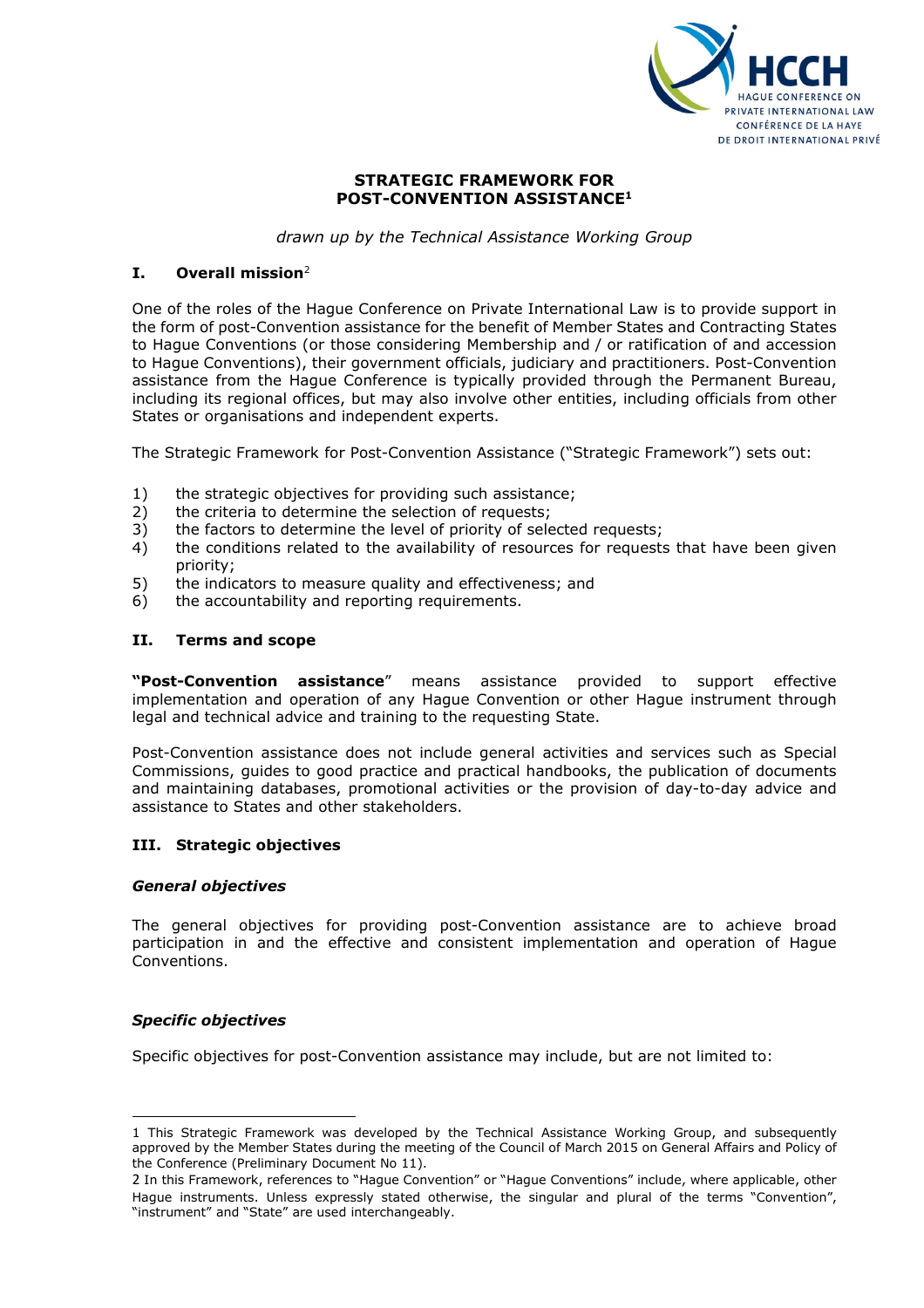

### STRATEGIC FRAMEWORK FOR POST-CONVENTION ASSISTANCE<sup>1</sup>

drawn up by the Technical Assistance Working Group

# $I.$  Overall mission<sup>2</sup>

One of the roles of the Hague Conference on Private International Law is to provide support in the form of post-Convention assistance for the benefit of Member States and Contracting States to Hague Conventions (or those considering Membership and / or ratification of and accession to Hague Conventions), their government officials, judiciary and practitioners. Post-Convention assistance from the Hague Conference is typically provided through the Permanent Bureau, including its regional offices, but may also involve other entities, including officials from other States or organisations and independent experts.

The Strategic Framework for Post-Convention Assistance ("Strategic Framework") sets out:

- 1) the strategic objectives for providing such assistance;
- 2) the criteria to determine the selection of requests;
- 3) the factors to determine the level of priority of selected requests;
- 4) the conditions related to the availability of resources for requests that have been given priority;
- 5) the indicators to measure quality and effectiveness; and
- 6) the accountability and reporting requirements.

### II. Terms and scope

"Post-Convention assistance" means assistance provided to support effective implementation and operation of any Hague Convention or other Hague instrument through legal and technical advice and training to the requesting State.

Post-Convention assistance does not include general activities and services such as Special Commissions, guides to good practice and practical handbooks, the publication of documents and maintaining databases, promotional activities or the provision of day-to-day advice and assistance to States and other stakeholders.

### III. Strategic objectives

### General objectives

The general objectives for providing post-Convention assistance are to achieve broad participation in and the effective and consistent implementation and operation of Hague Conventions.

### Specific objectives

 $\overline{a}$ 

Specific objectives for post-Convention assistance may include, but are not limited to:

<sup>1</sup> This Strategic Framework was developed by the Technical Assistance Working Group, and subsequently approved by the Member States during the meeting of the Council of March 2015 on General Affairs and Policy of the Conference (Preliminary Document No 11).

<sup>2</sup> In this Framework, references to "Hague Convention" or "Hague Conventions" include, where applicable, other Hague instruments. Unless expressly stated otherwise, the singular and plural of the terms "Convention", "instrument" and "State" are used interchangeably.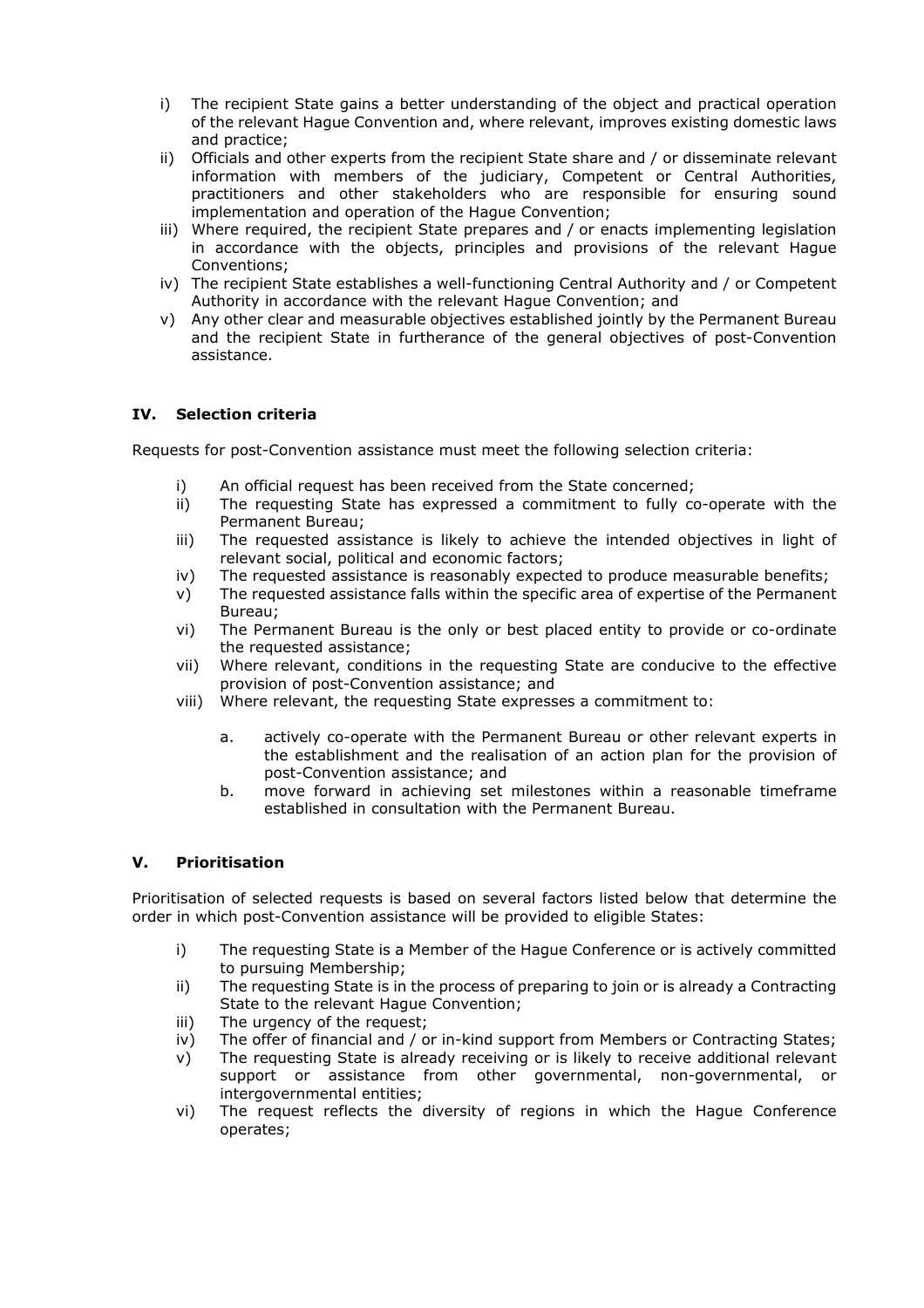- i) The recipient State gains a better understanding of the object and practical operation of the relevant Hague Convention and, where relevant, improves existing domestic laws and practice;
- ii) Officials and other experts from the recipient State share and / or disseminate relevant information with members of the judiciary, Competent or Central Authorities, practitioners and other stakeholders who are responsible for ensuring sound implementation and operation of the Hague Convention;
- iii) Where required, the recipient State prepares and / or enacts implementing legislation in accordance with the objects, principles and provisions of the relevant Hague Conventions;
- iv) The recipient State establishes a well-functioning Central Authority and / or Competent Authority in accordance with the relevant Hague Convention; and
- v) Any other clear and measurable objectives established jointly by the Permanent Bureau and the recipient State in furtherance of the general objectives of post-Convention assistance.

# IV. Selection criteria

Requests for post-Convention assistance must meet the following selection criteria:

- i) An official request has been received from the State concerned;
- ii) The requesting State has expressed a commitment to fully co-operate with the Permanent Bureau;
- iii) The requested assistance is likely to achieve the intended objectives in light of relevant social, political and economic factors;
- iv) The requested assistance is reasonably expected to produce measurable benefits;
- v) The requested assistance falls within the specific area of expertise of the Permanent Bureau;
- vi) The Permanent Bureau is the only or best placed entity to provide or co-ordinate the requested assistance;
- vii) Where relevant, conditions in the requesting State are conducive to the effective provision of post-Convention assistance; and
- viii) Where relevant, the requesting State expresses a commitment to:
	- a. actively co-operate with the Permanent Bureau or other relevant experts in the establishment and the realisation of an action plan for the provision of post-Convention assistance; and
	- b. move forward in achieving set milestones within a reasonable timeframe established in consultation with the Permanent Bureau.

### V. Prioritisation

Prioritisation of selected requests is based on several factors listed below that determine the order in which post-Convention assistance will be provided to eligible States:

- i) The requesting State is a Member of the Hague Conference or is actively committed to pursuing Membership;
- ii) The requesting State is in the process of preparing to join or is already a Contracting State to the relevant Hague Convention;
- iii) The urgency of the request;
- iv) The offer of financial and / or in-kind support from Members or Contracting States;
- v) The requesting State is already receiving or is likely to receive additional relevant support or assistance from other governmental, non-governmental, or intergovernmental entities;
- vi) The request reflects the diversity of regions in which the Hague Conference operates;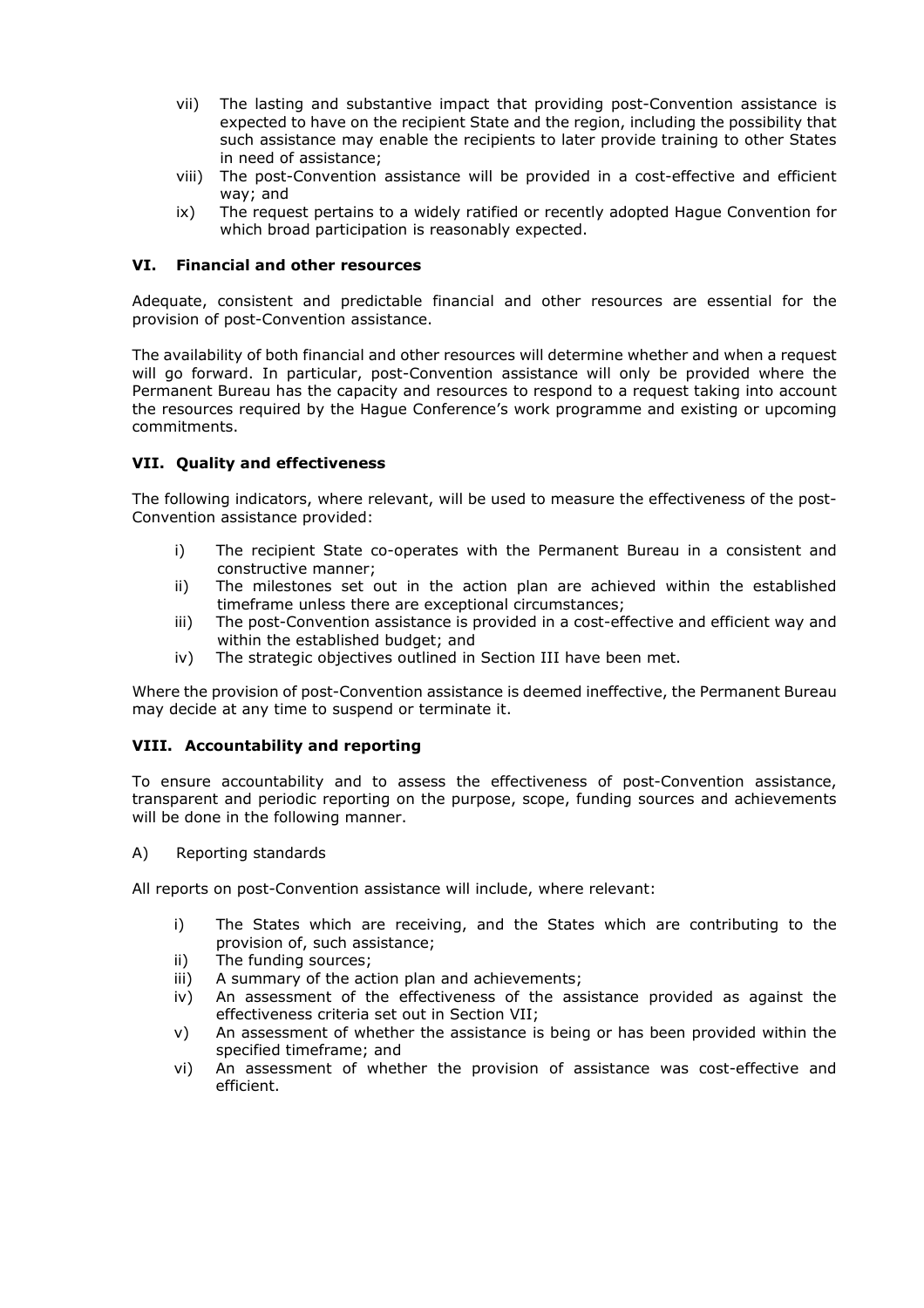- vii) The lasting and substantive impact that providing post-Convention assistance is expected to have on the recipient State and the region, including the possibility that such assistance may enable the recipients to later provide training to other States in need of assistance;
- viii) The post-Convention assistance will be provided in a cost-effective and efficient way; and
- ix) The request pertains to a widely ratified or recently adopted Hague Convention for which broad participation is reasonably expected.

### VI. Financial and other resources

Adequate, consistent and predictable financial and other resources are essential for the provision of post-Convention assistance.

The availability of both financial and other resources will determine whether and when a request will go forward. In particular, post-Convention assistance will only be provided where the Permanent Bureau has the capacity and resources to respond to a request taking into account the resources required by the Hague Conference's work programme and existing or upcoming commitments.

# VII. Quality and effectiveness

The following indicators, where relevant, will be used to measure the effectiveness of the post-Convention assistance provided:

- i) The recipient State co-operates with the Permanent Bureau in a consistent and constructive manner;
- ii) The milestones set out in the action plan are achieved within the established timeframe unless there are exceptional circumstances;
- iii) The post-Convention assistance is provided in a cost-effective and efficient way and within the established budget; and
- iv) The strategic objectives outlined in Section III have been met.

Where the provision of post-Convention assistance is deemed ineffective, the Permanent Bureau may decide at any time to suspend or terminate it.

### VIII. Accountability and reporting

To ensure accountability and to assess the effectiveness of post-Convention assistance, transparent and periodic reporting on the purpose, scope, funding sources and achievements will be done in the following manner.

A) Reporting standards

All reports on post-Convention assistance will include, where relevant:

- i) The States which are receiving, and the States which are contributing to the provision of, such assistance;
- ii) The funding sources;
- iii) A summary of the action plan and achievements;
- iv) An assessment of the effectiveness of the assistance provided as against the effectiveness criteria set out in Section VII;
- v) An assessment of whether the assistance is being or has been provided within the specified timeframe; and
- vi) An assessment of whether the provision of assistance was cost-effective and efficient.